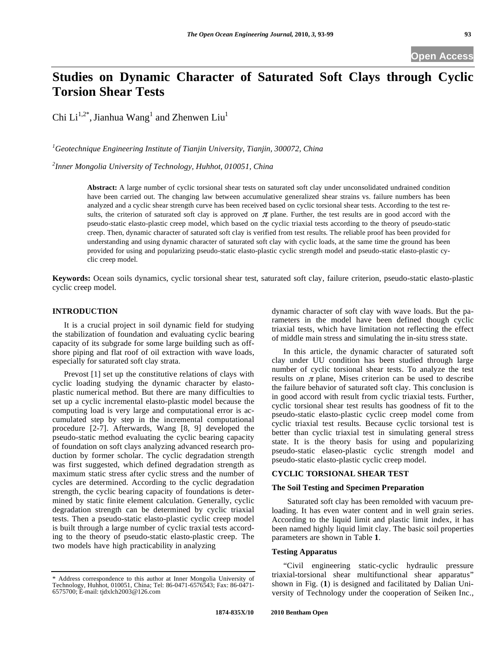# **Studies on Dynamic Character of Saturated Soft Clays through Cyclic Torsion Shear Tests**

Chi  $Li^{1,2^*}$ , Jianhua Wang<sup>1</sup> and Zhenwen Liu<sup>1</sup>

*1 Geotechnique Engineering Institute of Tianjin University, Tianjin, 300072, China* 

*2 Inner Mongolia University of Technology, Huhhot, 010051, China* 

**Abstract:** A large number of cyclic torsional shear tests on saturated soft clay under unconsolidated undrained condition have been carried out. The changing law between accumulative generalized shear strains vs. failure numbers has been analyzed and a cyclic shear strength curve has been received based on cyclic torsional shear tests. According to the test results, the criterion of saturated soft clay is approved on  $\pi$  plane. Further, the test results are in good accord with the pseudo-static elasto-plastic creep model, which based on the cyclic triaxial tests according to the theory of pseudo-static creep. Then, dynamic character of saturated soft clay is verified from test results. The reliable proof has been provided for understanding and using dynamic character of saturated soft clay with cyclic loads, at the same time the ground has been provided for using and popularizing pseudo-static elasto-plastic cyclic strength model and pseudo-static elasto-plastic cyclic creep model.

**Keywords:** Ocean soils dynamics, cyclic torsional shear test, saturated soft clay, failure criterion, pseudo-static elasto-plastic cyclic creep model.

## **INTRODUCTION**

It is a crucial project in soil dynamic field for studying the stabilization of foundation and evaluating cyclic bearing capacity of its subgrade for some large building such as offshore piping and flat roof of oil extraction with wave loads, especially for saturated soft clay strata.

Prevost [1] set up the constitutive relations of clays with cyclic loading studying the dynamic character by elastoplastic numerical method. But there are many difficulties to set up a cyclic incremental elasto-plastic model because the computing load is very large and computational error is accumulated step by step in the incremental computational procedure [2-7]. Afterwards, Wang [8, 9] developed the pseudo-static method evaluating the cyclic bearing capacity of foundation on soft clays analyzing advanced research production by former scholar. The cyclic degradation strength was first suggested, which defined degradation strength as maximum static stress after cyclic stress and the number of cycles are determined. According to the cyclic degradation strength, the cyclic bearing capacity of foundations is determined by static finite element calculation. Generally, cyclic degradation strength can be determined by cyclic triaxial tests. Then a pseudo-static elasto-plastic cyclic creep model is built through a large number of cyclic traxial tests according to the theory of pseudo-static elasto-plastic creep. The two models have high practicability in analyzing

dynamic character of soft clay with wave loads. But the parameters in the model have been defined though cyclic triaxial tests, which have limitation not reflecting the effect of middle main stress and simulating the in-situ stress state.

In this article, the dynamic character of saturated soft clay under UU condition has been studied through large number of cyclic torsional shear tests. To analyze the test results on  $\pi$  plane, Mises criterion can be used to describe the failure behavior of saturated soft clay. This conclusion is in good accord with result from cyclic triaxial tests. Further, cyclic torsional shear test results has goodness of fit to the pseudo-static elasto-plastic cyclic creep model come from cyclic triaxial test results. Because cyclic torsional test is better than cyclic triaxial test in simulating general stress state. It is the theory basis for using and popularizing pseudo-static elaseo-plastic cyclic strength model and pseudo-static elasto-plastic cyclic creep model.

### **CYCLIC TORSIONAL SHEAR TEST**

#### **The Soil Testing and Specimen Preparation**

 Saturated soft clay has been remolded with vacuum preloading. It has even water content and in well grain series. According to the liquid limit and plastic limit index, it has been named highly liquid limit clay. The basic soil properties parameters are shown in Table **1**.

#### **Testing Apparatus**

"Civil engineering static-cyclic hydraulic pressure triaxial-torsional shear multifunctional shear apparatus" shown in Fig. (**1**) is designed and facilitated by Dalian University of Technology under the cooperation of Seiken Inc.,

<sup>\*</sup> Address correspondence to this author at Inner Mongolia University of Technology, Huhhot, 010051, China; Tel: 86-0471-6576543; Fax: 86-0471- 6575700; E-mail: tjdxlch2003@126.com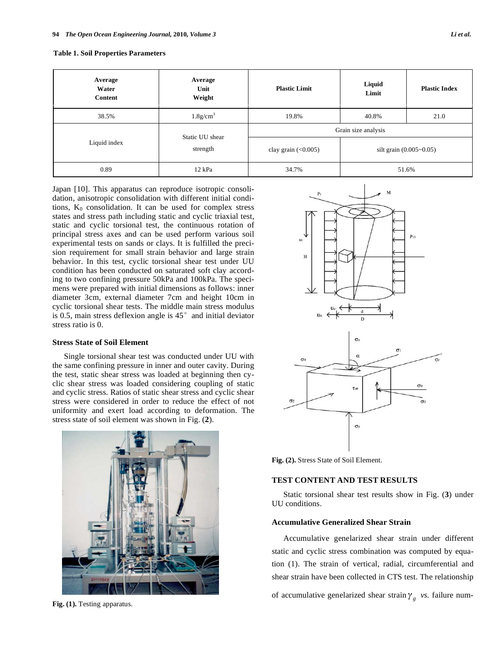| Average<br>Water<br>Content | Average<br>Unit<br>Weight   | <b>Plastic Limit</b> | Liquid<br>Limit             | <b>Plastic Index</b> |
|-----------------------------|-----------------------------|----------------------|-----------------------------|----------------------|
| 38.5%                       | $1.8$ g/cm <sup>3</sup>     | 19.8%                | 40.8%                       | 21.0                 |
| Liquid index                | Static UU shear<br>strength | Grain size analysis  |                             |                      |
|                             |                             | clay grain $(0.005)$ | silt grain $(0.005 - 0.05)$ |                      |
| 0.89                        | 12 kPa                      | 34.7%                | 51.6%                       |                      |

|  |  |  | <b>Table 1. Soil Properties Parameters</b> |
|--|--|--|--------------------------------------------|
|--|--|--|--------------------------------------------|

Japan [10]. This apparatus can reproduce isotropic consolidation, anisotropic consolidation with different initial conditions,  $K_0$  consolidation. It can be used for complex stress states and stress path including static and cyclic triaxial test, static and cyclic torsional test, the continuous rotation of principal stress axes and can be used perform various soil experimental tests on sands or clays. It is fulfilled the precision requirement for small strain behavior and large strain behavior. In this test, cyclic torsional shear test under UU condition has been conducted on saturated soft clay according to two confining pressure 50kPa and 100kPa. The specimens were prepared with initial dimensions as follows: inner diameter 3cm, external diameter 7cm and height 10cm in cyclic torsional shear tests. The middle main stress modulus is 0.5, main stress deflexion angle is  $45^\circ$  and initial deviator stress ratio is 0.

#### **Stress State of Soil Element**

Single torsional shear test was conducted under UU with the same confining pressure in inner and outer cavity. During the test, static shear stress was loaded at beginning then cyclic shear stress was loaded considering coupling of static and cyclic stress. Ratios of static shear stress and cyclic shear stress were considered in order to reduce the effect of not uniformity and exert load according to deformation. The stress state of soil element was shown in Fig. (**2**).



**Fig. (1).** Testing apparatus.



Fig. (2). Stress State of Soil Element.

#### **TEST CONTENT AND TEST RESULTS**

Static torsional shear test results show in Fig. (**3**) under UU conditions.

#### **Accumulative Generalized Shear Strain**

Accumulative genelarized shear strain under different static and cyclic stress combination was computed by equation (1). The strain of vertical, radial, circumferential and shear strain have been collected in CTS test. The relationship

of accumulative genelarized shear strain  $\gamma_g$  vs. failure num-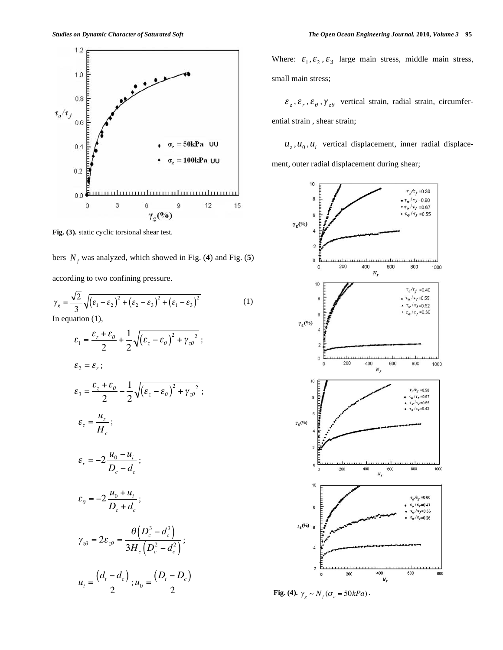

**Fig. (3).** static cyclic torsional shear test.

bers  $N_f$  was analyzed, which showed in Fig. (4) and Fig. (5)

according to two confining pressure.

$$
\gamma_g = \frac{\sqrt{2}}{3} \sqrt{\left(\varepsilon_1 - \varepsilon_2\right)^2 + \left(\varepsilon_2 - \varepsilon_3\right)^2 + \left(\varepsilon_1 - \varepsilon_3\right)^2}
$$
\nIn equation (1)

In equation (1),

$$
\varepsilon_{1} = \frac{\varepsilon_{z} + \varepsilon_{\theta}}{2} + \frac{1}{2} \sqrt{(\varepsilon_{z} - \varepsilon_{\theta})^{2} + \gamma_{z\theta}^{2}} ;
$$
\n
$$
\varepsilon_{2} = \varepsilon_{r} ;
$$
\n
$$
\varepsilon_{3} = \frac{\varepsilon_{z} + \varepsilon_{\theta}}{2} - \frac{1}{2} \sqrt{(\varepsilon_{z} - \varepsilon_{\theta})^{2} + \gamma_{z\theta}^{2}} ;
$$
\n
$$
\varepsilon_{z} = \frac{u_{z}}{H_{c}} ;
$$
\n
$$
\varepsilon_{r} = -2 \frac{u_{0} - u_{i}}{D_{c} - d_{c}} ;
$$
\n
$$
\varepsilon_{\theta} = -2 \frac{u_{0} + u_{i}}{D_{c} + d_{c}} ;
$$
\n
$$
\gamma_{z\theta} = 2\varepsilon_{z\theta} = \frac{\theta(D_{c}^{3} - d_{c}^{3})}{3H_{c}(D_{c}^{2} - d_{c}^{2})} ;
$$
\n
$$
u_{i} = \frac{(d_{t} - d_{c})}{2} ; u_{0} = \frac{(D_{t} - D_{c})}{2}
$$

Where:  $\varepsilon_1, \varepsilon_2, \varepsilon_3$  large main stress, middle main stress, small main stress;

 $\mathcal{E}_z$ ,  $\mathcal{E}_r$ ,  $\mathcal{E}_\theta$ ,  $\gamma_{z\theta}$  vertical strain, radial strain, circumferential strain , shear strain;

 $u_7$ ,  $u_0$ ,  $u_i$  vertical displacement, inner radial displacement, outer radial displacement during shear;



**Fig.** (4).  $\gamma_g \sim N_f(\sigma_c = 50kPa)$ .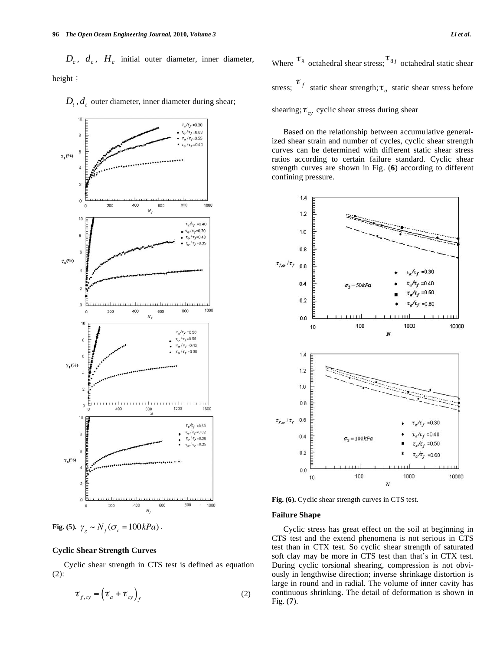$D_c$ ,  $d_c$ ,  $H_c$  initial outer diameter, inner diameter, height;

 $D_t$ ,  $d_t$  outer diameter, inner diameter during shear;



**Fig.** (5).  $\gamma_g \sim N_f(\sigma_c = 100kPa)$ .

### **Cyclic Shear Strength Curves**

Cyclic shear strength in CTS test is defined as equation (2):

$$
\boldsymbol{\tau}_{f,\text{cy}} = (\boldsymbol{\tau}_a + \boldsymbol{\tau}_{\text{cy}})_f \tag{2}
$$

Where  $\tau_{8}$  octahedral shear stress;  $\tau_{8j}$  octahedral static shear stress;  $\tau_f$  static shear strength;  $\tau_a$  static shear stress before

shearing;  $\tau_{cv}$  cyclic shear stress during shear

Based on the relationship between accumulative generalized shear strain and number of cycles, cyclic shear strength curves can be determined with different static shear stress ratios according to certain failure standard. Cyclic shear strength curves are shown in Fig. (**6**) according to different confining pressure.



**Fig. (6).** Cyclic shear strength curves in CTS test.

#### **Failure Shape**

Cyclic stress has great effect on the soil at beginning in CTS test and the extend phenomena is not serious in CTS test than in CTX test. So cyclic shear strength of saturated soft clay may be more in CTS test than that's in CTX test. During cyclic torsional shearing, compression is not obviously in lengthwise direction; inverse shrinkage distortion is large in round and in radial. The volume of inner cavity has continuous shrinking. The detail of deformation is shown in Fig. (**7**).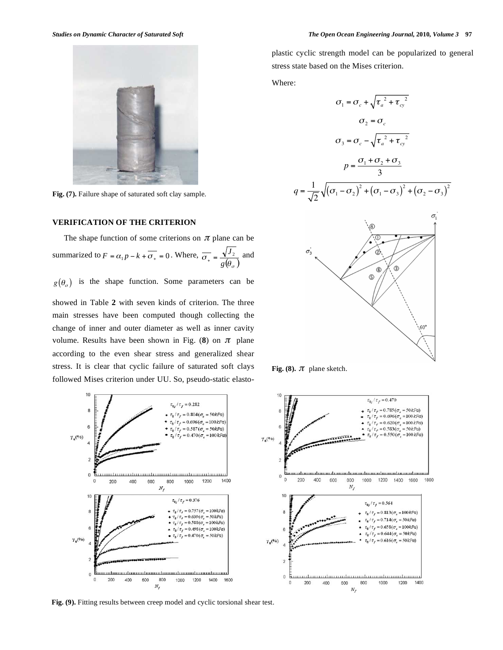

**Fig. (7).** Failure shape of saturated soft clay sample.

#### **VERIFICATION OF THE CRITERION**

The shape function of some criterions on  $\pi$  plane can be summarized to  $F = \alpha_1 p - k + \overline{\sigma_+} = 0$ . Where,  $\sigma_{+} = \frac{1}{g(\theta_{\sigma})}$  $\frac{1}{\epsilon} = \frac{\sqrt{J_2}}{\epsilon_0}$  and

 $g(\theta_{\sigma})$  is the shape function. Some parameters can be

showed in Table **2** with seven kinds of criterion. The three main stresses have been computed though collecting the change of inner and outer diameter as well as inner cavity volume. Results have been shown in Fig.  $(8)$  on  $\pi$  plane according to the even shear stress and generalized shear stress. It is clear that cyclic failure of saturated soft clays followed Mises criterion under UU. So, pseudo-static elasto-



**Fig. (9).** Fitting results between creep model and cyclic torsional shear test.

plastic cyclic strength model can be popularized to general stress state based on the Mises criterion.

Where:

$$
\sigma_1 = \sigma_c + \sqrt{\tau_a^2 + \tau_{cy}^2}
$$
  
\n
$$
\sigma_2 = \sigma_c
$$
  
\n
$$
\sigma_3 = \sigma_c - \sqrt{\tau_a^2 + \tau_{cy}^2}
$$
  
\n
$$
p = \frac{\sigma_1 + \sigma_2 + \sigma_3}{3}
$$
  
\n
$$
q = \frac{1}{\sqrt{2}}\sqrt{(\sigma_1 - \sigma_2)^2 + (\sigma_1 - \sigma_3)^2 + (\sigma_2 - \sigma_3)^2}
$$





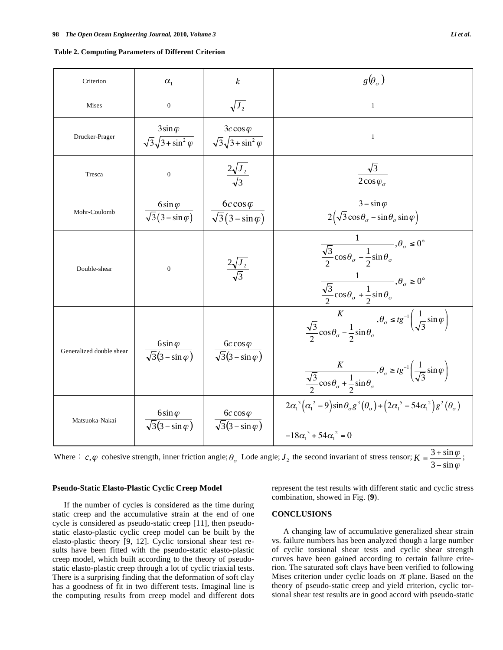|  | <b>Table 2. Computing Parameters of Different Criterion</b> |
|--|-------------------------------------------------------------|
|--|-------------------------------------------------------------|

| Criterion                | $\alpha_{1}$                                               | $\boldsymbol{k}$                                    | $g(\theta_{\sigma})$                                                                                                                                                                                                                                                                               |
|--------------------------|------------------------------------------------------------|-----------------------------------------------------|----------------------------------------------------------------------------------------------------------------------------------------------------------------------------------------------------------------------------------------------------------------------------------------------------|
| <b>Mises</b>             | $\overline{0}$                                             | $\sqrt{J_2}$                                        | 1                                                                                                                                                                                                                                                                                                  |
| Drucker-Prager           | $3\sin\varphi$<br>$\sqrt{3}\sqrt{3+\sin^2\varphi}$         | $3c\cos\varphi$<br>$\sqrt{3}\sqrt{3+\sin^2\varphi}$ | $\mathbf{1}$                                                                                                                                                                                                                                                                                       |
| Tresca                   | $\boldsymbol{0}$                                           | $\frac{2\sqrt{J_2}}{\sqrt{2}}$                      | $\sqrt{3}$<br>$\overline{2}$ cos $\varphi_{\sigma}$                                                                                                                                                                                                                                                |
| Mohr-Coulomb             | $\frac{6\sin\varphi}{\sqrt{3}(3-\sin\varphi)}$             | $6c\cos\varphi$<br>$\sqrt{3(3-\sin\varphi)}$        | $3 - \sin \varphi$<br>$\frac{1}{2(\sqrt{3}\cos\theta_{\sigma}-\sin\theta_{\sigma}\sin\varphi)}$                                                                                                                                                                                                    |
| Double-shear             | $\overline{0}$                                             | $\frac{2\sqrt{J_2}}{\sqrt{2}}$                      | $\frac{1}{\sqrt{3}\cos\theta_{\sigma}-\frac{1}{2}\sin\theta_{\sigma}}, \theta_{\sigma} \leq 0^{\circ}$<br>$\frac{1}{\sqrt{3} \cos \theta_{\sigma} + \frac{1}{2} \sin \theta_{\sigma}}, \theta_{\sigma} \ge 0^{\circ}$                                                                              |
| Generalized double shear | 6sin $\varphi$<br>$\sqrt{3}$ $\overline{(3-\sin \varphi)}$ | $6c\cos\varphi$<br>$\sqrt{3}(3-\sin \varphi)$       | $\frac{K}{\sqrt{3}\cos\theta_{\sigma}-\frac{1}{2}\sin\theta_{\sigma}}, \theta_{\sigma} \leq t g^{-1} \left(\frac{1}{\sqrt{3}}\sin\varphi\right)$<br>$\frac{K}{\sqrt{3}\cos\theta_{\sigma}+\frac{1}{2}\sin\theta_{\sigma}}, \theta_{\sigma} \geq tg^{-1}\left(\frac{1}{\sqrt{3}}\sin\varphi\right)$ |
| Matsuoka-Nakai           | 6sin $\varphi$<br>$\sqrt{3}(3-\sin\varphi)$                | $6c \cos \varphi$<br>$\sqrt{3}(3-\sin\varphi)$      | $2\alpha_1^3(\alpha_1^2-9)\sin\theta_{\sigma}g^3(\theta_{\sigma})+(2\alpha_1^5-54\alpha_1^2)g^2(\theta_{\sigma})$<br>$-18\alpha_1^3 + 54\alpha_1^2 = 0$                                                                                                                                            |

Where  $\therefore$  c,  $\varphi$  cohesive strength, inner friction angle;  $\theta_{\sigma}$  Lode angle;  $J_2$  the second invariant of stress tensor;  $K = \frac{3 + \sin \varphi}{3 - \sin \varphi}$  $\frac{3 + \sin \varphi}{3 - \sin \varphi}$  $3 + \sin$ - $K = \frac{3 + \sin \varphi}{2}$ ;

#### **Pseudo-Static Elasto-Plastic Cyclic Creep Model**

represent the test results with different static and cyclic stress combination, showed in Fig. (**9**).

# static creep and the accumulative strain at the end of one cycle is considered as pseudo-static creep [11], then pseudostatic elasto-plastic cyclic creep model can be built by the

elasto-plastic theory [9, 12]. Cyclic torsional shear test results have been fitted with the pseudo-static elasto-plastic creep model, which built according to the theory of pseudostatic elasto-plastic creep through a lot of cyclic triaxial tests. There is a surprising finding that the deformation of soft clay has a goodness of fit in two different tests. Imaginal line is the computing results from creep model and different dots

If the number of cycles is considered as the time during

## **CONCLUSIONS**

A changing law of accumulative generalized shear strain vs. failure numbers has been analyzed though a large number of cyclic torsional shear tests and cyclic shear strength curves have been gained according to certain failure criterion. The saturated soft clays have been verified to following Mises criterion under cyclic loads on  $\pi$  plane. Based on the theory of pseudo-static creep and yield criterion, cyclic torsional shear test results are in good accord with pseudo-static